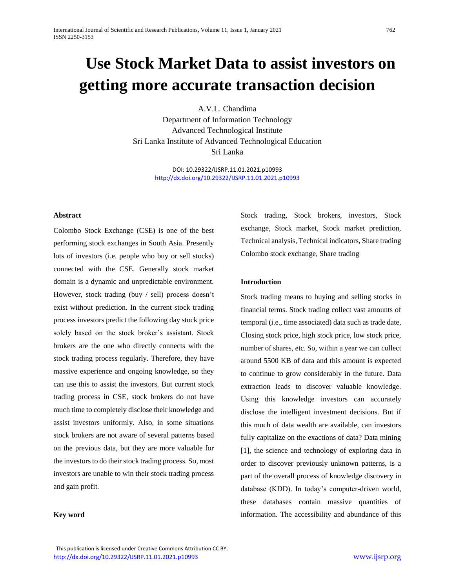# **Use Stock Market Data to assist investors on getting more accurate transaction decision**

A.V.L. Chandima Department of Information Technology Advanced Technological Institute Sri Lanka Institute of Advanced Technological Education Sri Lanka

> DOI: 10.29322/IJSRP.11.01.2021.p10993 [http://dx.doi.org/10.29322/IJSRP.11.01.2021.p1099](http://dx.doi.org/10.29322/IJSRP.11.01.2021.p109)3

# **Abstract**

Colombo Stock Exchange (CSE) is one of the best performing stock exchanges in South Asia. Presently lots of investors (i.e. people who buy or sell stocks) connected with the CSE. Generally stock market domain is a dynamic and unpredictable environment. However, stock trading (buy / sell) process doesn't exist without prediction. In the current stock trading process investors predict the following day stock price solely based on the stock broker's assistant. Stock brokers are the one who directly connects with the stock trading process regularly. Therefore, they have massive experience and ongoing knowledge, so they can use this to assist the investors. But current stock trading process in CSE, stock brokers do not have much time to completely disclose their knowledge and assist investors uniformly. Also, in some situations stock brokers are not aware of several patterns based on the previous data, but they are more valuable for the investors to do their stock trading process. So, most investors are unable to win their stock trading process and gain profit.

**Key word**

Stock trading, Stock brokers, investors, Stock exchange, Stock market, Stock market prediction, Technical analysis, Technical indicators, Share trading Colombo stock exchange, Share trading

#### **Introduction**

Stock trading means to buying and selling stocks in financial terms. Stock trading collect vast amounts of temporal (i.e., time associated) data such as trade date, Closing stock price, high stock price, low stock price, number of shares, etc. So, within a year we can collect around 5500 KB of data and this amount is expected to continue to grow considerably in the future. Data extraction leads to discover valuable knowledge. Using this knowledge investors can accurately disclose the intelligent investment decisions. But if this much of data wealth are available, can investors fully capitalize on the exactions of data? Data mining [1], the science and technology of exploring data in order to discover previously unknown patterns, is a part of the overall process of knowledge discovery in database (KDD). In today's computer-driven world, these databases contain massive quantities of information. The accessibility and abundance of this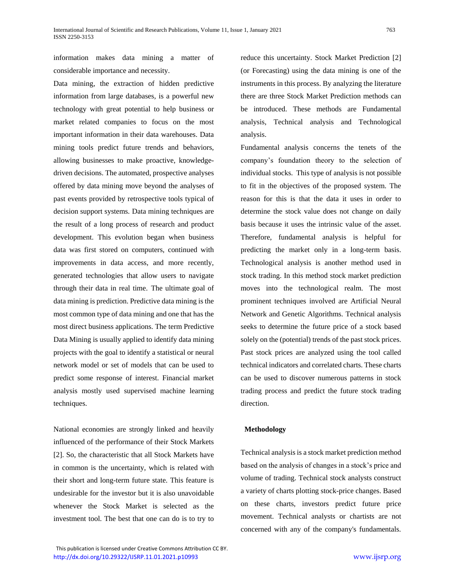information makes data mining a matter of considerable importance and necessity.

Data mining, the extraction of hidden predictive information from large databases*,* is a powerful new technology with great potential to help business or market related companies to focus on the most important information in their data warehouses. Data mining tools predict future trends and behaviors, allowing businesses to make proactive, knowledgedriven decisions. The automated, prospective analyses offered by data mining move beyond the analyses of past events provided by retrospective tools typical of decision support systems. Data mining techniques are the result of a long process of research and product development. This evolution began when business data was first stored on computers, continued with improvements in data access, and more recently, generated technologies that allow users to navigate through their data in real time. The ultimate goal of data mining is prediction. Predictive data mining is the most common type of data mining and one that has the most direct business applications. The term Predictive Data Mining is usually applied to identify data mining projects with the goal to identify a statistical or neural network model or set of models that can be used to predict some response of interest. Financial market analysis mostly used supervised machine learning techniques.

National economies are strongly linked and heavily influenced of the performance of their Stock Markets [2]. So, the characteristic that all Stock Markets have in common is the uncertainty, which is related with their short and long-term future state. This feature is undesirable for the investor but it is also unavoidable whenever the Stock Market is selected as the investment tool. The best that one can do is to try to reduce this uncertainty. Stock Market Prediction [2] (or Forecasting) using the data mining is one of the instruments in this process. By analyzing the literature there are three Stock Market Prediction methods can be introduced. These methods are Fundamental analysis, Technical analysis and Technological analysis.

Fundamental analysis concerns the tenets of the company's foundation theory to the selection of individual stocks. This type of analysis is not possible to fit in the objectives of the proposed system. The reason for this is that the data it uses in order to determine the stock value does not change on daily basis because it uses the intrinsic value of the asset. Therefore, fundamental analysis is helpful for predicting the market only in a long-term basis. Technological analysis is another method used in stock trading. In this method stock market prediction moves into the technological realm. The most prominent techniques involved are Artificial Neural Network and Genetic Algorithms. Technical analysis seeks to determine the future price of a stock based solely on the (potential) trends of the past stock prices. Past stock prices are analyzed using the tool called technical indicators and correlated charts. These charts can be used to discover numerous patterns in stock trading process and predict the future stock trading direction.

# **Methodology**

Technical analysis is [a stock](http://american-business.org/769-stock-market-bond-market.html) market prediction method based on the analysis of changes in a stock's price and volume of trading. Technical stock analysts construct a variety of charts plotting stock-price changes. Based on these charts, investors predict future price movement. Technical analysts or chartists are not concerned with any of the company's fundamentals.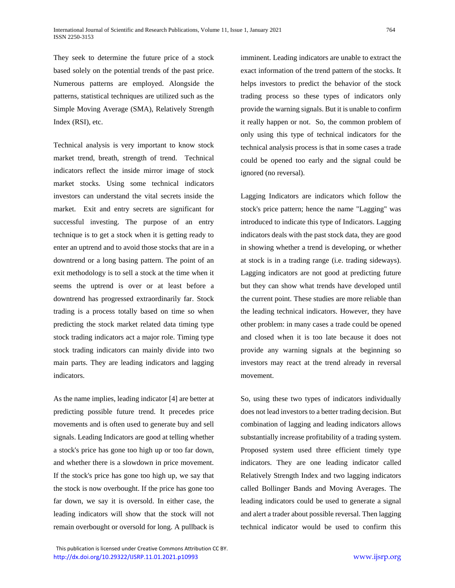They seek to determine the future price of a stock based solely on the potential trends of the past price. Numerous patterns are employed. Alongside the patterns, statistical techniques are utilized such as the Simple Moving Average (SMA), Relatively Strength Index (RSI), etc.

Technical analysis is very important to know stock market trend, breath, strength of trend. Technical indicators reflect the inside mirror image of stock market stocks. Using some technical indicators investors can understand the vital secrets inside the market. Exit and entry secrets are significant for successful investing. The purpose of an entry technique is to get a stock when it is getting ready to enter an uptrend and to avoid those stocks that are in a downtrend or a long basing pattern. The point of an exit methodology is to sell a stock at the time when it seems the uptrend is over or at least before a downtrend has progressed extraordinarily far. Stock trading is a process totally based on time so when predicting the stock market related data timing type stock trading indicators act a major role. Timing type stock trading indicators can mainly divide into two main parts. They are leading indicators and lagging indicators.

As the name implies, leading indicator [4] are better at predicting possible future trend. It precedes price movements and is often used to generate buy and sell signals. Leading Indicators are good at telling whether a stock's price has gone too high up or too far down, and whether there is a slowdown in price movement. If the stock's price has gone too high up, we say that the stock is now overbought. If the price has gone too far down, we say it is oversold. In either case, the leading indicators will show that the stock will not remain overbought or oversold for long. A pullback is imminent. Leading indicators are unable to extract the exact information of the trend pattern of the stocks. It helps investors to predict the behavior of the stock trading process so these types of indicators only provide the warning signals. But it is unable to confirm it really happen or not. So, the common problem of only using this type of technical indicators for the technical analysis process is that in some cases a trade could be opened too early and the signal could be ignored (no reversal).

Lagging Indicators are indicators which follow the stock's price pattern; hence the name "Lagging" was introduced to indicate this type of Indicators. Lagging indicators deals with the past stock data, they are good in showing whether a trend is developing, or whether at stock is in a trading range (i.e. trading sideways). Lagging indicators are not good at predicting future but they can show what trends have developed until the current point. These studies are more reliable than the leading technical indicators. However, they have other problem: in many cases a trade could be opened and closed when it is too late because it does not provide any warning signals at the beginning so investors may react at the trend already in reversal movement.

So, using these two types of indicators individually does not lead investors to a better trading decision. But combination of lagging and leading indicators allows substantially increase profitability of a trading system. Proposed system used three efficient timely type indicators. They are one leading indicator called Relatively Strength Index and two lagging indicators called Bollinger Bands and Moving Averages. The leading indicators could be used to generate a signal and alert a trader about possible reversal. Then lagging technical indicator would be used to confirm this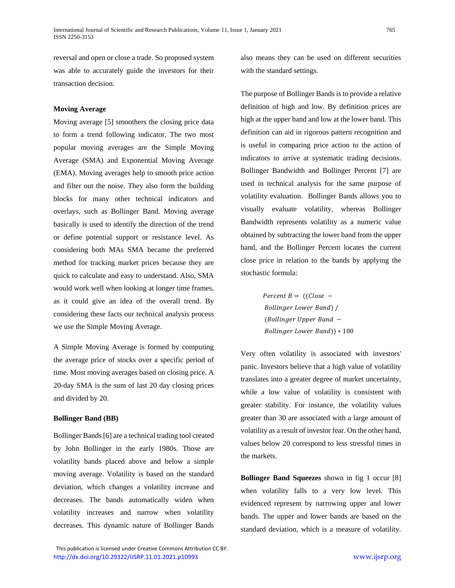reversal and open or close a trade. So proposed system was able to accurately guide the investors for their transaction decision.

# **Moving Average**

Moving average [5] smoothers the closing price data to form a trend following indicator. The two most popular moving averages are the Simple Moving Average (SMA) and Exponential Moving Average (EMA). Moving averages help to smooth price action and filter out the noise. They also form the building blocks for many other technical indicators and overlays, such as Bollinger Band. Moving average basically is used to identify the direction of the trend or define potential support or resistance level. As considering both MAs SMA became the preferred method for tracking market prices because they are quick to calculate and easy to understand. Also, SMA would work well when looking at longer time frames, as it could give an idea of the overall trend. By considering these facts our technical analysis process we use the Simple Moving Average.

A Simple Moving Average is formed by computing the average price of stocks over a specific period of time. Most moving averages based on closing price. A 20-day SMA is the sum of last 20 day closing prices and divided by 20.

#### **Bollinger Band (BB)**

Bollinger Bands [6] are a technical trading tool created by John Bollinger in the early 1980s. Those are volatility bands placed above and below a simple moving average. Volatility is based on the [standard](http://stockcharts.com/school/doku.php?id=chart_school:technical_indicators:standard_deviation)  [deviation,](http://stockcharts.com/school/doku.php?id=chart_school:technical_indicators:standard_deviation) which changes a volatility increase and decreases. The bands automatically widen when volatility increases and narrow when volatility decreases. This dynamic nature of Bollinger Bands also means they can be used on different securities with the standard settings.

The purpose of Bollinger Bands is to provide a relative definition of high and low. By definition prices are high at the upper band and low at the lower band. This definition can aid in rigorous pattern recognition and is useful in comparing price action to the action of indicators to arrive at systematic trading decisions. Bollinger Bandwidth and Bollinger Percent [7] are used in technical analysis for the same purpose of volatility evaluation. Bollinger Bands allows you to visually evaluate volatility, whereas Bollinger Bandwidth represents volatility as a numeric value obtained by subtracting the lower band from the upper band, and the Bollinger Percent locates the current close price in relation to the bands by applying the stochastic formula:

> Percent  $B = ((Close -$ Bollinger Lower Band) /  $(Bollinger Upper Band -$ Bollinger Lower Band)) \* 100

Very often volatility is associated with investors' panic. Investors believe that a high value of volatility translates into a greater degree of market uncertainty, while a low value of volatility is consistent with greater stability. For instance, the volatility values greater than 30 are associated with a large amount of volatility as a result of investor fear. On the other hand, values below 20 correspond to less stressful times in the markets.

**Bollinger Band Squeezes** shown in fig 1 occur [8] when volatility falls to a very low level. This evidenced represent by narrowing upper and lower bands. The upper and lower bands are based on the standard deviation, which is a measure of volatility.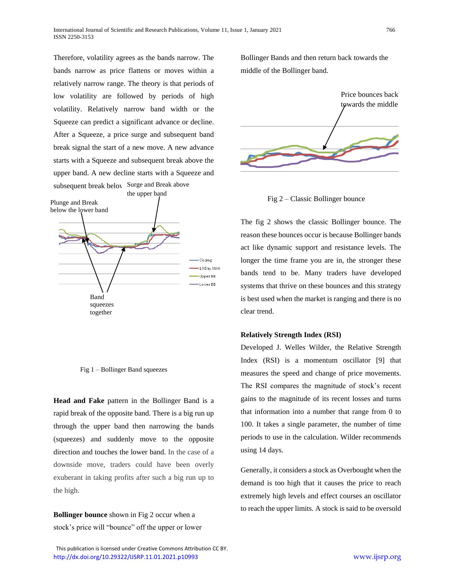Therefore, volatility agrees as the bands narrow. The bands narrow as price flattens or moves within a relatively narrow range. The theory is that periods of low volatility are followed by periods of high volatility. Relatively narrow band width or the Squeeze can predict a significant advance or decline. After a Squeeze, a price surge and subsequent band break signal the start of a new move. A new advance starts with a Squeeze and subsequent break above the upper band. A new decline starts with a Squeeze and subsequent break beloy Surge and Break above



Fig 1 – Bollinger Band squeezes

**Head and Fake** pattern in the Bollinger Band is a rapid break of the opposite band. There is a big run up through the upper band then narrowing the bands (squeezes) and suddenly move to the opposite direction and touches the lower band. In the case of a downside move, traders could have been overly exuberant in taking profits after such a big run up to the high.

**Bollinger bounce** shown in Fig 2 occur when a stock's price will "bounce" off the upper or lower Bollinger Bands and then return back towards the middle of the Bollinger band.



Fig 2 – Classic Bollinger bounce

The fig 2 shows the classic Bollinger bounce. The reason these bounces occur is because Bollinger bands act like dynamic support and resistance levels. The longer the time frame you are in, the stronger these bands tend to be. Many traders have developed systems that thrive on these bounces and this strategy is best used when the market is ranging and there is no clear trend.

#### **Relatively Strength Index (RSI)**

Developed J. Welles Wilder, the Relative Strength Index (RSI) is a momentum oscillator [9] that measures the speed and change of price movements. The RSI compares the magnitude of stock's recent gains to the magnitude of its recent losses and turns that information into a number that range from 0 to 100. It takes a single parameter, the number of time periods to use in the calculation. Wilder recommends using 14 days.

Generally, it considers a stock as Overbought when the demand is too high that it causes the price to reach extremely high levels and effect courses an oscillator to reach the upper limits. A stock is said to be oversold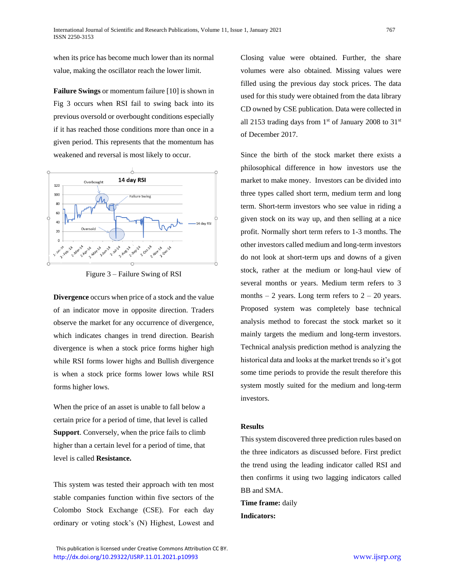when its price has become much lower than its normal value, making the oscillator reach the lower limit.

**Failure Swings** or momentum failure [10] is shown in Fig 3 occurs when RSI fail to swing back into its previous oversold or overbought conditions especially if it has reached those conditions more than once in a given period. This represents that the momentum has weakened and reversal is most likely to occur.





**Divergence** occurs when price of a stock and the value of an indicator move in opposite direction. Traders observe the market for any occurrence of divergence, which indicates changes in trend direction. Bearish divergence is when a stock price forms higher high while RSI forms lower highs and Bullish divergence is when a stock price forms lower lows while RSI forms higher lows.

When the price of an asset is unable to fall below a certain price for a period of time, that level is called **Support**. Conversely, when the price fails to climb higher than a certain level for a period of time, that level is called **Resistance.**

This system was tested their approach with ten most stable companies function within five sectors of the Colombo Stock Exchange (CSE). For each day ordinary or voting stock's (N) Highest, Lowest and Closing value were obtained. Further, the share volumes were also obtained. Missing values were filled using the previous day stock prices. The data used for this study were obtained from the data library CD owned by CSE publication. Data were collected in all 2153 trading days from  $1<sup>st</sup>$  of January 2008 to 31 $<sup>st</sup>$ </sup> of December 2017.

Since the birth of the stock market there exists a philosophical difference in how investors use the market to make money. Investors can be divided into three types called short term, medium term and long term. Short-term investors who see value in riding a given stock on its way up, and then selling at a nice profit. Normally short term refers to 1-3 months. The other investors called medium and long-term investors do not look at short-term ups and downs of a given stock, rather at the medium or long-haul view of several months or years. Medium term refers to 3 months  $-2$  years. Long term refers to  $2 - 20$  years. Proposed system was completely base technical analysis method to forecast the stock market so it mainly targets the medium and long-term investors. Technical analysis prediction method is analyzing the historical data and looks at the market trends so it's got some time periods to provide the result therefore this system mostly suited for the medium and long-term investors.

# **Results**

This system discovered three prediction rules based on the three indicators as discussed before. First predict the trend using the leading indicator called RSI and then confirms it using two lagging indicators called BB and SMA.

**Time frame:** daily **Indicators:**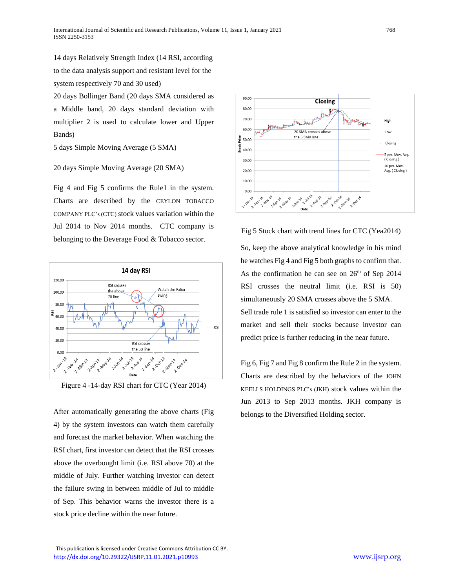14 days Relatively Strength Index (14 RSI, according to the data analysis support and resistant level for the system respectively 70 and 30 used)

20 days Bollinger Band (20 days SMA considered as a Middle band, 20 days standard deviation with multiplier 2 is used to calculate lower and Upper Bands)

5 days Simple Moving Average (5 SMA)

## 20 days Simple Moving Average (20 SMA)

Fig 4 and Fig 5 confirms the Rule1 in the system. Charts are described by the CEYLON TOBACCO COMPANY PLC's (CTC) stock values variation within the Jul 2014 to Nov 2014 months. CTC company is belonging to the Beverage Food & Tobacco sector.



Figure 4 -14-day RSI chart for CTC (Year 2014)

After automatically generating the above charts (Fig 4) by the system investors can watch them carefully and forecast the market behavior. When watching the RSI chart, first investor can detect that the RSI crosses above the overbought limit (i.e. RSI above 70) at the middle of July. Further watching investor can detect the failure swing in between middle of Jul to middle of Sep. This behavior warns the investor there is a stock price decline within the near future.



Fig 5 Stock chart with trend lines for CTC (Yea2014)

So, keep the above analytical knowledge in his mind he watches Fig 4 and Fig 5 both graphs to confirm that. As the confirmation he can see on  $26<sup>th</sup>$  of Sep 2014 RSI crosses the neutral limit (i.e. RSI is 50) simultaneously 20 SMA crosses above the 5 SMA. Sell trade rule 1 is satisfied so investor can enter to the market and sell their stocks because investor can predict price is further reducing in the near future.

Fig 6, Fig 7 and Fig 8 confirm the Rule 2 in the system. Charts are described by the behaviors of the JOHN KEELLS HOLDINGS PLC's (JKH) stock values within the Jun 2013 to Sep 2013 months. JKH company is belongs to the Diversified Holding sector.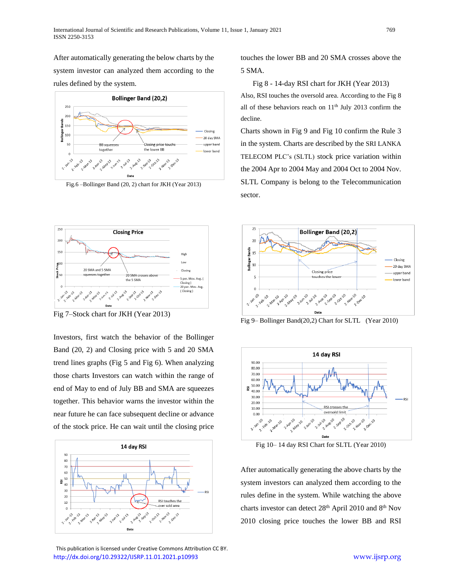After automatically generating the below charts by the system investor can analyzed them according to the rules defined by the system.



Fig.6 –Bollinger Band (20, 2) chart for JKH (Year 2013)



Fig 7–Stock chart for JKH (Year 2013)

Investors, first watch the behavior of the Bollinger Band (20, 2) and Closing price with 5 and 20 SMA trend lines graphs (Fig 5 and Fig 6). When analyzing those charts Investors can watch within the range of end of May to end of July BB and SMA are squeezes together. This behavior warns the investor within the near future he can face subsequent decline or advance of the stock price. He can wait until the closing price



 This publication is licensed under Creative Commons Attribution CC BY. <http://dx.doi.org/10.29322/IJSRP.11.01.2021.p10993> [www.ijsrp.org](http://ijsrp.org/)

touches the lower BB and 20 SMA crosses above the 5 SMA.

Fig 8 - 14-day RSI chart for JKH (Year 2013)

Also, RSI touches the oversold area. According to the Fig 8 all of these behaviors reach on  $11<sup>th</sup>$  July 2013 confirm the decline.

Charts shown in Fig 9 and Fig 10 confirm the Rule 3 in the system. Charts are described by the SRI LANKA TELECOM PLC's (SLTL) stock price variation within the 2004 Apr to 2004 May and 2004 Oct to 2004 Nov. SLTL Company is belong to the Telecommunication sector.



Fig 9– Bollinger Band(20,2) Chart for SLTL (Year 2010)



Fig 10– 14 day RSI Chart for SLTL (Year 2010)

After automatically generating the above charts by the system investors can analyzed them according to the rules define in the system. While watching the above charts investor can detect 28<sup>th</sup> April 2010 and 8<sup>th</sup> Nov 2010 closing price touches the lower BB and RSI